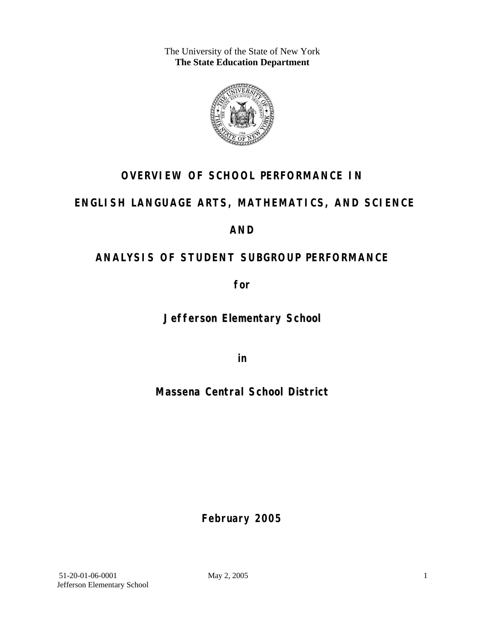The University of the State of New York **The State Education Department** 



## **OVERVIEW OF SCHOOL PERFORMANCE IN**

### **ENGLISH LANGUAGE ARTS, MATHEMATICS, AND SCIENCE**

### **AND**

## **ANALYSIS OF STUDENT SUBGROUP PERFORMANCE**

**for** 

**Jefferson Elementary School**

**in** 

### **Massena Central School District**

**February 2005**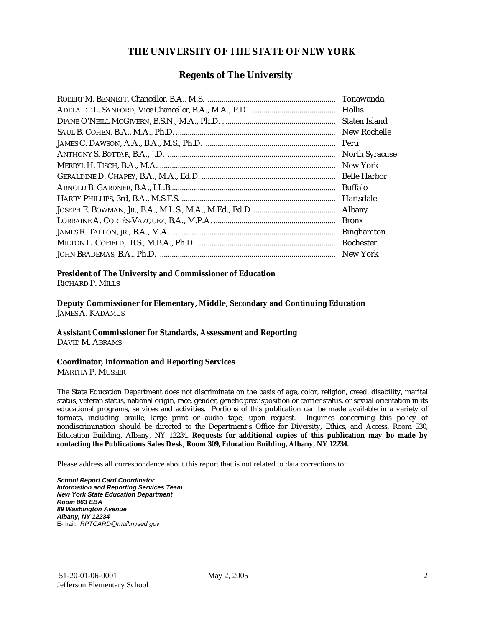#### **THE UNIVERSITY OF THE STATE OF NEW YORK**

#### **Regents of The University**

| Tonawanda             |
|-----------------------|
|                       |
| Staten Island         |
| New Rochelle          |
| Peru                  |
| <b>North Syracuse</b> |
| New York              |
| <b>Belle Harbor</b>   |
| <b>Buffalo</b>        |
| Hartsdale             |
| <b>Albany</b>         |
| <b>Bronx</b>          |
| <b>Binghamton</b>     |
| Rochester             |
| New York              |

### **President of The University and Commissioner of Education**

RICHARD P. MILLS

**Deputy Commissioner for Elementary, Middle, Secondary and Continuing Education**  JAMES A. KADAMUS

#### **Assistant Commissioner for Standards, Assessment and Reporting**  DAVID M. ABRAMS

**Coordinator, Information and Reporting Services** 

MARTHA P. MUSSER

The State Education Department does not discriminate on the basis of age, color, religion, creed, disability, marital status, veteran status, national origin, race, gender, genetic predisposition or carrier status, or sexual orientation in its educational programs, services and activities. Portions of this publication can be made available in a variety of formats, including braille, large print or audio tape, upon request. Inquiries concerning this policy of nondiscrimination should be directed to the Department's Office for Diversity, Ethics, and Access, Room 530, Education Building, Albany, NY 12234. **Requests for additional copies of this publication may be made by contacting the Publications Sales Desk, Room 309, Education Building, Albany, NY 12234.** 

Please address all correspondence about this report that is not related to data corrections to:

*School Report Card Coordinator Information and Reporting Services Team New York State Education Department Room 863 EBA 89 Washington Avenue Albany, NY 12234*  E-mail: *RPTCARD@mail.nysed.gov*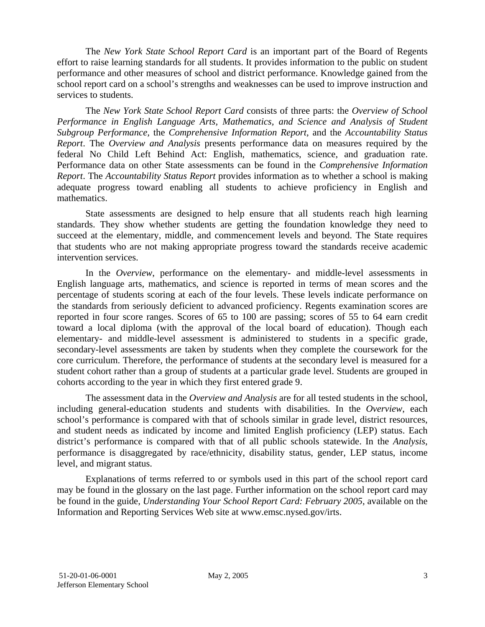The *New York State School Report Card* is an important part of the Board of Regents effort to raise learning standards for all students. It provides information to the public on student performance and other measures of school and district performance. Knowledge gained from the school report card on a school's strengths and weaknesses can be used to improve instruction and services to students.

The *New York State School Report Card* consists of three parts: the *Overview of School Performance in English Language Arts, Mathematics, and Science and Analysis of Student Subgroup Performance,* the *Comprehensive Information Report,* and the *Accountability Status Report*. The *Overview and Analysis* presents performance data on measures required by the federal No Child Left Behind Act: English, mathematics, science, and graduation rate. Performance data on other State assessments can be found in the *Comprehensive Information Report*. The *Accountability Status Report* provides information as to whether a school is making adequate progress toward enabling all students to achieve proficiency in English and mathematics.

State assessments are designed to help ensure that all students reach high learning standards. They show whether students are getting the foundation knowledge they need to succeed at the elementary, middle, and commencement levels and beyond. The State requires that students who are not making appropriate progress toward the standards receive academic intervention services.

In the *Overview*, performance on the elementary- and middle-level assessments in English language arts, mathematics, and science is reported in terms of mean scores and the percentage of students scoring at each of the four levels. These levels indicate performance on the standards from seriously deficient to advanced proficiency. Regents examination scores are reported in four score ranges. Scores of 65 to 100 are passing; scores of 55 to 64 earn credit toward a local diploma (with the approval of the local board of education). Though each elementary- and middle-level assessment is administered to students in a specific grade, secondary-level assessments are taken by students when they complete the coursework for the core curriculum. Therefore, the performance of students at the secondary level is measured for a student cohort rather than a group of students at a particular grade level. Students are grouped in cohorts according to the year in which they first entered grade 9.

The assessment data in the *Overview and Analysis* are for all tested students in the school, including general-education students and students with disabilities. In the *Overview*, each school's performance is compared with that of schools similar in grade level, district resources, and student needs as indicated by income and limited English proficiency (LEP) status. Each district's performance is compared with that of all public schools statewide. In the *Analysis*, performance is disaggregated by race/ethnicity, disability status, gender, LEP status, income level, and migrant status.

Explanations of terms referred to or symbols used in this part of the school report card may be found in the glossary on the last page. Further information on the school report card may be found in the guide, *Understanding Your School Report Card: February 2005*, available on the Information and Reporting Services Web site at www.emsc.nysed.gov/irts.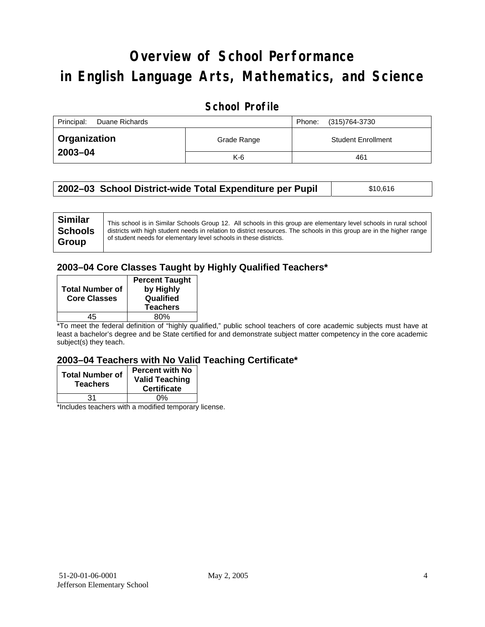# **Overview of School Performance in English Language Arts, Mathematics, and Science**

#### **School Profile**

| Principal:<br>Duane Richards |             | (315)764-3730<br>Phone:   |
|------------------------------|-------------|---------------------------|
| ' Organization               | Grade Range | <b>Student Enrollment</b> |
| 2003-04                      | $K-6$       | 461                       |

| 2002–03 School District-wide Total Expenditure per Pupil | \$10,616 |
|----------------------------------------------------------|----------|
|----------------------------------------------------------|----------|

### **2003–04 Core Classes Taught by Highly Qualified Teachers\***

| <b>Total Number of</b><br><b>Core Classes</b> | <b>Percent Taught</b><br>by Highly<br>Qualified<br><b>Teachers</b> |
|-----------------------------------------------|--------------------------------------------------------------------|
| 15                                            | ጸበ%                                                                |

\*To meet the federal definition of "highly qualified," public school teachers of core academic subjects must have at least a bachelor's degree and be State certified for and demonstrate subject matter competency in the core academic subject(s) they teach.

#### **2003–04 Teachers with No Valid Teaching Certificate\***

| <b>Total Number of</b><br><b>Teachers</b> | <b>Percent with No</b><br><b>Valid Teaching</b><br><b>Certificate</b> |
|-------------------------------------------|-----------------------------------------------------------------------|
| 31                                        | 0%                                                                    |
| $\mathbf{A}$<br>$\cdots$                  |                                                                       |

\*Includes teachers with a modified temporary license.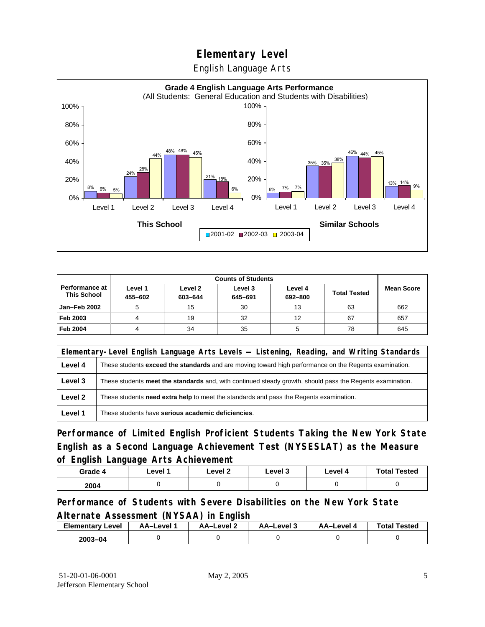English Language Arts



|                                             |                    | <b>Counts of Students</b> |                    |                    |                     |                   |
|---------------------------------------------|--------------------|---------------------------|--------------------|--------------------|---------------------|-------------------|
| <b>Performance at</b><br><b>This School</b> | Level 1<br>455-602 | Level 2<br>603-644        | Level 3<br>645-691 | Level 4<br>692-800 | <b>Total Tested</b> | <b>Mean Score</b> |
| Jan-Feb 2002                                |                    | 15                        | 30                 | 13                 | 63                  | 662               |
| Feb 2003                                    |                    | 19                        | 32                 | 12                 | 67                  | 657               |
| <b>Feb 2004</b>                             |                    | 34                        | 35                 | 5                  | 78                  | 645               |

| Elementary-Level English Language Arts Levels — Listening, Reading, and Writing Standards |                                                                                                           |  |  |
|-------------------------------------------------------------------------------------------|-----------------------------------------------------------------------------------------------------------|--|--|
| Level 4                                                                                   | These students exceed the standards and are moving toward high performance on the Regents examination.    |  |  |
| Level 3                                                                                   | These students meet the standards and, with continued steady growth, should pass the Regents examination. |  |  |
| Level 2                                                                                   | These students <b>need extra help</b> to meet the standards and pass the Regents examination.             |  |  |
| Level 1                                                                                   | These students have serious academic deficiencies.                                                        |  |  |

**Performance of Limited English Proficient Students Taking the New York State English as a Second Language Achievement Test (NYSESLAT) as the Measure of English Language Arts Achievement**

| Grade 4 | Level 1 | Level 2 | Level 3 | Level 4 | <b>Total Tested</b> |
|---------|---------|---------|---------|---------|---------------------|
| 2004    |         |         |         |         |                     |

**Performance of Students with Severe Disabilities on the New York State Alternate Assessment (NYSAA) in English** 

| <b>Elementary Level</b> | AA–Level | <b>AA-Level 2</b> | AA-Level 3 | AA–Level 4 | <b>Total Tested</b> |
|-------------------------|----------|-------------------|------------|------------|---------------------|
| 2003-04                 |          |                   |            |            |                     |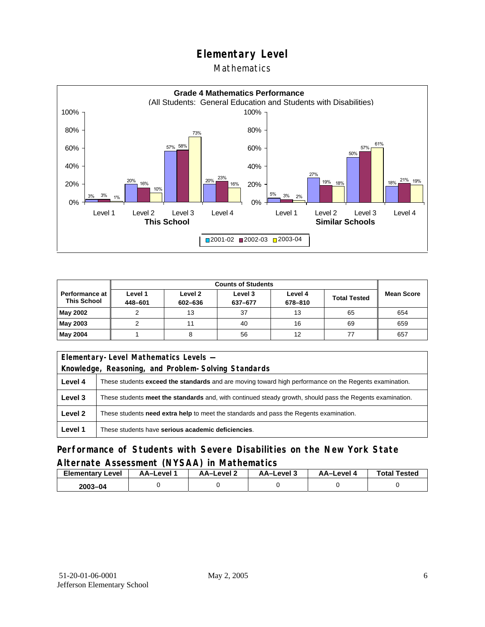#### Mathematics



|                                             |                    | <b>Counts of Students</b> |                    |                    |                     |                   |  |
|---------------------------------------------|--------------------|---------------------------|--------------------|--------------------|---------------------|-------------------|--|
| <b>Performance at</b><br><b>This School</b> | Level 1<br>448-601 | Level 2<br>602-636        | Level 3<br>637-677 | Level 4<br>678-810 | <b>Total Tested</b> | <b>Mean Score</b> |  |
| May 2002                                    |                    | 13                        | 37                 | 13                 | 65                  | 654               |  |
| May 2003                                    |                    |                           | 40                 | 16                 | 69                  | 659               |  |
| May 2004                                    |                    |                           | 56                 | 12                 |                     | 657               |  |

|         | Elementary-Level Mathematics Levels -                                                                         |  |  |
|---------|---------------------------------------------------------------------------------------------------------------|--|--|
|         | Knowledge, Reasoning, and Problem-Solving Standards                                                           |  |  |
| Level 4 | These students <b>exceed the standards</b> and are moving toward high performance on the Regents examination. |  |  |
| Level 3 | These students meet the standards and, with continued steady growth, should pass the Regents examination.     |  |  |
| Level 2 | These students need extra help to meet the standards and pass the Regents examination.                        |  |  |
| Level 1 | These students have serious academic deficiencies.                                                            |  |  |

#### **Performance of Students with Severe Disabilities on the New York State Alternate Assessment (NYSAA) in Mathematics**

| <b>Elementary Level</b> | AA-Level | AA-Level 2 | AA-Level 3 | AA–Level 4 | <b>Total Tested</b> |
|-------------------------|----------|------------|------------|------------|---------------------|
| $2003 - 04$             |          |            |            |            |                     |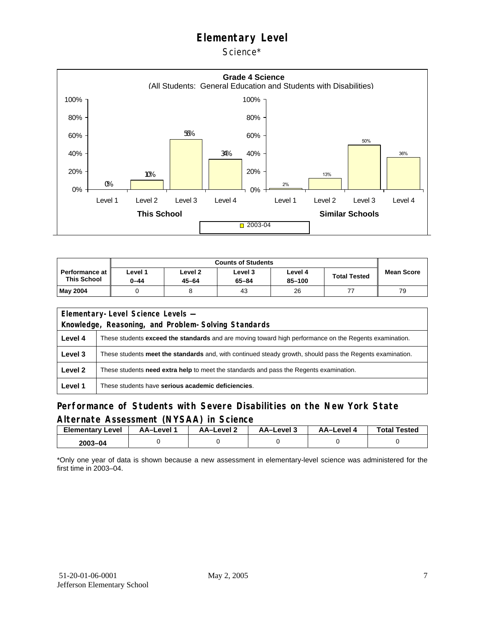Science\*



|                                             | <b>Counts of Students</b> |                      |                      |                   |                     |                   |  |  |
|---------------------------------------------|---------------------------|----------------------|----------------------|-------------------|---------------------|-------------------|--|--|
| <b>Performance at</b><br><b>This School</b> | Level 1<br>0-44           | Level 2<br>$45 - 64$ | Level 3<br>$65 - 84$ | Level 4<br>85-100 | <b>Total Tested</b> | <b>Mean Score</b> |  |  |
| May 2004                                    |                           |                      | 43                   | 26                |                     | 79                |  |  |

| Elementary-Level Science Levels -                   |                                                                                                               |  |  |  |  |  |  |
|-----------------------------------------------------|---------------------------------------------------------------------------------------------------------------|--|--|--|--|--|--|
| Knowledge, Reasoning, and Problem-Solving Standards |                                                                                                               |  |  |  |  |  |  |
| Level 4                                             | These students <b>exceed the standards</b> and are moving toward high performance on the Regents examination. |  |  |  |  |  |  |
| Level 3                                             | These students meet the standards and, with continued steady growth, should pass the Regents examination.     |  |  |  |  |  |  |
| Level 2                                             | These students <b>need extra help</b> to meet the standards and pass the Regents examination.                 |  |  |  |  |  |  |
| Level 1                                             | These students have serious academic deficiencies.                                                            |  |  |  |  |  |  |

#### **Performance of Students with Severe Disabilities on the New York State Alternate Assessment (NYSAA) in Science**

| <b>Elementary Level</b> | AA-Level | AA–Level ∠ | د AA–Level | AA-Level 4 | <b>Total Tested</b> |
|-------------------------|----------|------------|------------|------------|---------------------|
| 2003-04                 |          |            |            |            |                     |

\*Only one year of data is shown because a new assessment in elementary-level science was administered for the first time in 2003–04.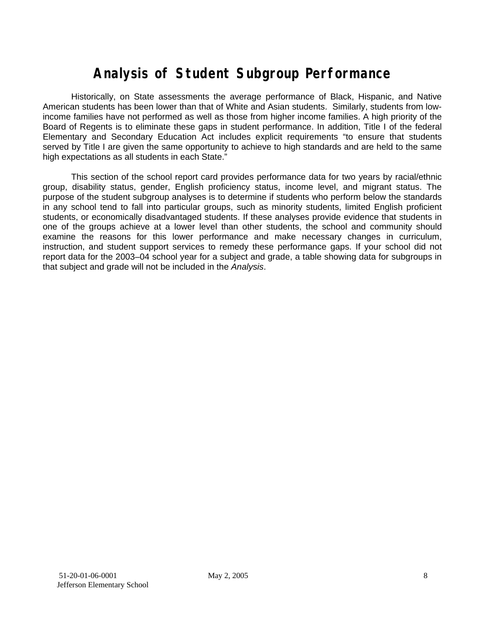## **Analysis of Student Subgroup Performance**

Historically, on State assessments the average performance of Black, Hispanic, and Native American students has been lower than that of White and Asian students. Similarly, students from lowincome families have not performed as well as those from higher income families. A high priority of the Board of Regents is to eliminate these gaps in student performance. In addition, Title I of the federal Elementary and Secondary Education Act includes explicit requirements "to ensure that students served by Title I are given the same opportunity to achieve to high standards and are held to the same high expectations as all students in each State."

This section of the school report card provides performance data for two years by racial/ethnic group, disability status, gender, English proficiency status, income level, and migrant status. The purpose of the student subgroup analyses is to determine if students who perform below the standards in any school tend to fall into particular groups, such as minority students, limited English proficient students, or economically disadvantaged students. If these analyses provide evidence that students in one of the groups achieve at a lower level than other students, the school and community should examine the reasons for this lower performance and make necessary changes in curriculum, instruction, and student support services to remedy these performance gaps. If your school did not report data for the 2003–04 school year for a subject and grade, a table showing data for subgroups in that subject and grade will not be included in the *Analysis*.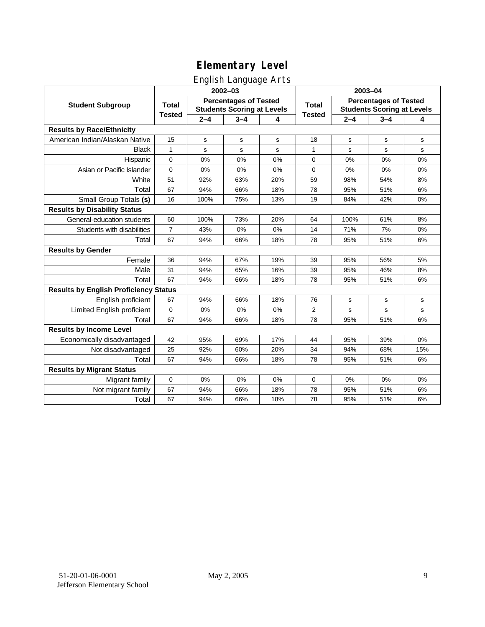### English Language Arts

|                                              |                                                                                   |             | $2002 - 03$ |       | 2003-04                                                           |         |             |             |  |
|----------------------------------------------|-----------------------------------------------------------------------------------|-------------|-------------|-------|-------------------------------------------------------------------|---------|-------------|-------------|--|
| <b>Student Subgroup</b>                      | <b>Percentages of Tested</b><br><b>Total</b><br><b>Students Scoring at Levels</b> |             |             | Total | <b>Percentages of Tested</b><br><b>Students Scoring at Levels</b> |         |             |             |  |
|                                              | <b>Tested</b>                                                                     | $2 - 4$     | $3 - 4$     | 4     | <b>Tested</b>                                                     | $2 - 4$ | $3 - 4$     | 4           |  |
| <b>Results by Race/Ethnicity</b>             |                                                                                   |             |             |       |                                                                   |         |             |             |  |
| American Indian/Alaskan Native               | 15                                                                                | $\mathbf s$ | s           | s     | 18                                                                | s       | $\mathbf s$ | ${\tt s}$   |  |
| <b>Black</b>                                 | $\mathbf{1}$                                                                      | s           | s           | s     | $\mathbf{1}$                                                      | s       | s           | s           |  |
| Hispanic                                     | 0                                                                                 | 0%          | 0%          | 0%    | 0                                                                 | 0%      | 0%          | 0%          |  |
| Asian or Pacific Islander                    | 0                                                                                 | 0%          | 0%          | 0%    | 0                                                                 | 0%      | 0%          | 0%          |  |
| White                                        | 51                                                                                | 92%         | 63%         | 20%   | 59                                                                | 98%     | 54%         | 8%          |  |
| Total                                        | 67                                                                                | 94%         | 66%         | 18%   | 78                                                                | 95%     | 51%         | 6%          |  |
| Small Group Totals (s)                       | 16                                                                                | 100%        | 75%         | 13%   | 19                                                                | 84%     | 42%         | 0%          |  |
| <b>Results by Disability Status</b>          |                                                                                   |             |             |       |                                                                   |         |             |             |  |
| General-education students                   | 60                                                                                | 100%        | 73%         | 20%   | 64                                                                | 100%    | 61%         | 8%          |  |
| Students with disabilities                   | $\overline{7}$                                                                    | 43%         | 0%          | 0%    | 14                                                                | 71%     | 7%          | 0%          |  |
| Total                                        | 67                                                                                | 94%         | 66%         | 18%   | 78                                                                | 95%     | 51%         | 6%          |  |
| <b>Results by Gender</b>                     |                                                                                   |             |             |       |                                                                   |         |             |             |  |
| Female                                       | 36                                                                                | 94%         | 67%         | 19%   | 39                                                                | 95%     | 56%         | 5%          |  |
| Male                                         | 31                                                                                | 94%         | 65%         | 16%   | 39                                                                | 95%     | 46%         | 8%          |  |
| Total                                        | 67                                                                                | 94%         | 66%         | 18%   | 78                                                                | 95%     | 51%         | 6%          |  |
| <b>Results by English Proficiency Status</b> |                                                                                   |             |             |       |                                                                   |         |             |             |  |
| English proficient                           | 67                                                                                | 94%         | 66%         | 18%   | 76                                                                | s       | $\mathbf s$ | s           |  |
| Limited English proficient                   | 0                                                                                 | 0%          | 0%          | 0%    | $\overline{2}$                                                    | s       | s           | $\mathbf s$ |  |
| Total                                        | 67                                                                                | 94%         | 66%         | 18%   | 78                                                                | 95%     | 51%         | 6%          |  |
| <b>Results by Income Level</b>               |                                                                                   |             |             |       |                                                                   |         |             |             |  |
| Economically disadvantaged                   | 42                                                                                | 95%         | 69%         | 17%   | 44                                                                | 95%     | 39%         | 0%          |  |
| Not disadvantaged                            | 25                                                                                | 92%         | 60%         | 20%   | 34                                                                | 94%     | 68%         | 15%         |  |
| Total                                        | 67                                                                                | 94%         | 66%         | 18%   | 78                                                                | 95%     | 51%         | 6%          |  |
| <b>Results by Migrant Status</b>             |                                                                                   |             |             |       |                                                                   |         |             |             |  |
| Migrant family                               | $\mathbf 0$                                                                       | 0%          | 0%          | 0%    | 0                                                                 | 0%      | 0%          | 0%          |  |
| Not migrant family                           | 67                                                                                | 94%         | 66%         | 18%   | 78                                                                | 95%     | 51%         | 6%          |  |
| Total                                        | 67                                                                                | 94%         | 66%         | 18%   | 78                                                                | 95%     | 51%         | 6%          |  |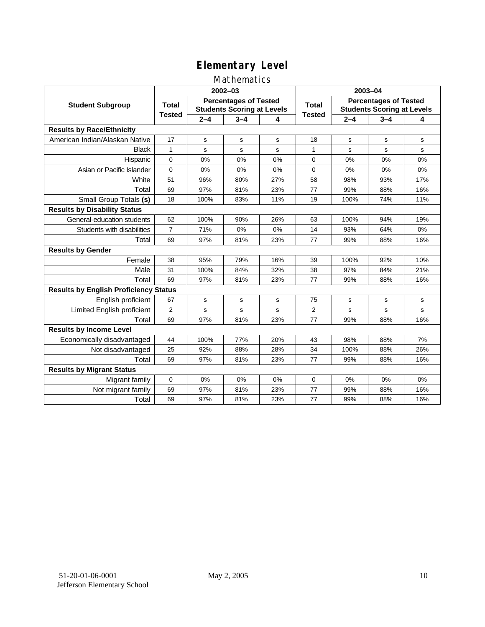### Mathematics

|                                              |                                                                                   |         | 2002-03     |             | 2003-04                                                           |             |             |     |  |
|----------------------------------------------|-----------------------------------------------------------------------------------|---------|-------------|-------------|-------------------------------------------------------------------|-------------|-------------|-----|--|
| <b>Student Subgroup</b>                      | <b>Percentages of Tested</b><br><b>Total</b><br><b>Students Scoring at Levels</b> |         |             | Total       | <b>Percentages of Tested</b><br><b>Students Scoring at Levels</b> |             |             |     |  |
|                                              | <b>Tested</b>                                                                     | $2 - 4$ | $3 - 4$     | 4           | <b>Tested</b>                                                     | $2 - 4$     | $3 - 4$     | 4   |  |
| <b>Results by Race/Ethnicity</b>             |                                                                                   |         |             |             |                                                                   |             |             |     |  |
| American Indian/Alaskan Native               | 17                                                                                | s       | s           | s           | 18                                                                | s           | s           | s   |  |
| <b>Black</b>                                 | 1                                                                                 | s       | s           | s           | 1                                                                 | s           | s           | s   |  |
| Hispanic                                     | $\Omega$                                                                          | 0%      | 0%          | 0%          | 0                                                                 | 0%          | 0%          | 0%  |  |
| Asian or Pacific Islander                    | $\mathbf{0}$                                                                      | 0%      | 0%          | 0%          | 0                                                                 | 0%          | 0%          | 0%  |  |
| White                                        | 51                                                                                | 96%     | 80%         | 27%         | 58                                                                | 98%         | 93%         | 17% |  |
| Total                                        | 69                                                                                | 97%     | 81%         | 23%         | 77                                                                | 99%         | 88%         | 16% |  |
| Small Group Totals (s)                       | 18                                                                                | 100%    | 83%         | 11%         | 19                                                                | 100%        | 74%         | 11% |  |
| <b>Results by Disability Status</b>          |                                                                                   |         |             |             |                                                                   |             |             |     |  |
| General-education students                   | 62                                                                                | 100%    | 90%         | 26%         | 63                                                                | 100%        | 94%         | 19% |  |
| Students with disabilities                   | $\overline{7}$                                                                    | 71%     | 0%          | 0%          | 14                                                                | 93%         | 64%         | 0%  |  |
| Total                                        | 69                                                                                | 97%     | 81%         | 23%         | 77                                                                | 99%         | 88%         | 16% |  |
| <b>Results by Gender</b>                     |                                                                                   |         |             |             |                                                                   |             |             |     |  |
| Female                                       | 38                                                                                | 95%     | 79%         | 16%         | 39                                                                | 100%        | 92%         | 10% |  |
| Male                                         | 31                                                                                | 100%    | 84%         | 32%         | 38                                                                | 97%         | 84%         | 21% |  |
| Total                                        | 69                                                                                | 97%     | 81%         | 23%         | 77                                                                | 99%         | 88%         | 16% |  |
| <b>Results by English Proficiency Status</b> |                                                                                   |         |             |             |                                                                   |             |             |     |  |
| English proficient                           | 67                                                                                | s       | $\mathbf s$ | $\mathbf s$ | 75                                                                | $\mathbf s$ | $\mathbf s$ | s   |  |
| Limited English proficient                   | $\overline{2}$                                                                    | s       | s           | s           | $\overline{2}$                                                    | s           | s           | s   |  |
| Total                                        | 69                                                                                | 97%     | 81%         | 23%         | 77                                                                | 99%         | 88%         | 16% |  |
| <b>Results by Income Level</b>               |                                                                                   |         |             |             |                                                                   |             |             |     |  |
| Economically disadvantaged                   | 44                                                                                | 100%    | 77%         | 20%         | 43                                                                | 98%         | 88%         | 7%  |  |
| Not disadvantaged                            | 25                                                                                | 92%     | 88%         | 28%         | 34                                                                | 100%        | 88%         | 26% |  |
| Total                                        | 69                                                                                | 97%     | 81%         | 23%         | 77                                                                | 99%         | 88%         | 16% |  |
| <b>Results by Migrant Status</b>             |                                                                                   |         |             |             |                                                                   |             |             |     |  |
| Migrant family                               | 0                                                                                 | 0%      | 0%          | 0%          | 0                                                                 | 0%          | 0%          | 0%  |  |
| Not migrant family                           | 69                                                                                | 97%     | 81%         | 23%         | 77                                                                | 99%         | 88%         | 16% |  |
| Total                                        | 69                                                                                | 97%     | 81%         | 23%         | 77                                                                | 99%         | 88%         | 16% |  |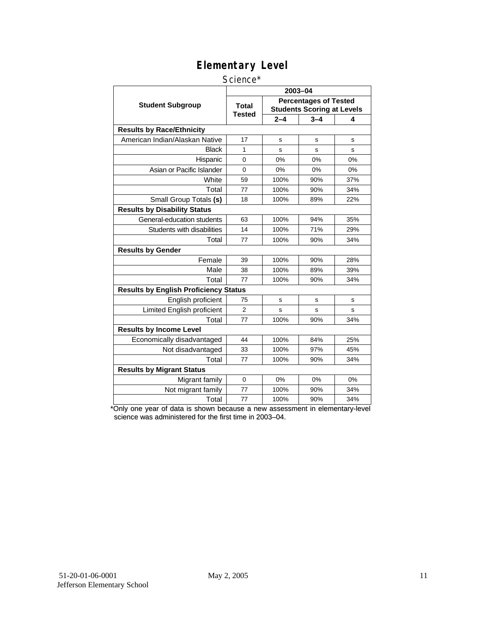#### Science\*

|                                              | 2003-04                |                                                                   |         |     |  |  |  |  |
|----------------------------------------------|------------------------|-------------------------------------------------------------------|---------|-----|--|--|--|--|
| <b>Student Subgroup</b>                      | <b>Total</b><br>Tested | <b>Percentages of Tested</b><br><b>Students Scoring at Levels</b> |         |     |  |  |  |  |
|                                              |                        | $2 - 4$                                                           | $3 - 4$ | 4   |  |  |  |  |
| <b>Results by Race/Ethnicity</b>             |                        |                                                                   |         |     |  |  |  |  |
| American Indian/Alaskan Native               | 17                     | S                                                                 | s       | s   |  |  |  |  |
| Black                                        | 1                      | S                                                                 | s       | s   |  |  |  |  |
| Hispanic                                     | $\overline{0}$         | 0%                                                                | 0%      | 0%  |  |  |  |  |
| Asian or Pacific Islander                    | 0                      | 0%<br>0%                                                          |         | 0%  |  |  |  |  |
| White                                        | 59                     | 100%                                                              | 90%     | 37% |  |  |  |  |
| Total                                        | 77                     | 100%                                                              | 90%     | 34% |  |  |  |  |
| Small Group Totals (s)                       | 18                     | 100%                                                              | 89%     | 22% |  |  |  |  |
| <b>Results by Disability Status</b>          |                        |                                                                   |         |     |  |  |  |  |
| General-education students                   | 63                     | 100%                                                              |         | 35% |  |  |  |  |
| Students with disabilities                   | 14                     | 100%                                                              | 71%     | 29% |  |  |  |  |
| Total                                        | 77                     | 100%                                                              | 90%     | 34% |  |  |  |  |
| <b>Results by Gender</b>                     |                        |                                                                   |         |     |  |  |  |  |
| Female                                       | 39                     | 100%                                                              | 90%     | 28% |  |  |  |  |
| Male                                         | 38                     | 100%                                                              | 89%     | 39% |  |  |  |  |
| Total                                        | 77                     | 100%                                                              | 90%     | 34% |  |  |  |  |
| <b>Results by English Proficiency Status</b> |                        |                                                                   |         |     |  |  |  |  |
| English proficient                           | 75                     | s                                                                 | s       | s   |  |  |  |  |
| Limited English proficient                   | $\overline{2}$         | S                                                                 | s       | s   |  |  |  |  |
| Total                                        | 77                     | 100%                                                              | 90%     | 34% |  |  |  |  |
| <b>Results by Income Level</b>               |                        |                                                                   |         |     |  |  |  |  |
| Economically disadvantaged                   | 44                     | 100%                                                              | 84%     | 25% |  |  |  |  |
| Not disadvantaged                            | 33                     | 100%                                                              | 97%     | 45% |  |  |  |  |
| Total                                        | 77                     | 100%                                                              | 90%     | 34% |  |  |  |  |
| <b>Results by Migrant Status</b>             |                        |                                                                   |         |     |  |  |  |  |
| Migrant family                               | $\Omega$               | 0%                                                                | 0%      | 0%  |  |  |  |  |
| Not migrant family                           | 77                     | 100%                                                              | 90%     | 34% |  |  |  |  |
| Total                                        | 77                     | 100%                                                              | 90%     | 34% |  |  |  |  |

\*Only one year of data is shown because a new assessment in elementary-level science was administered for the first time in 2003–04.